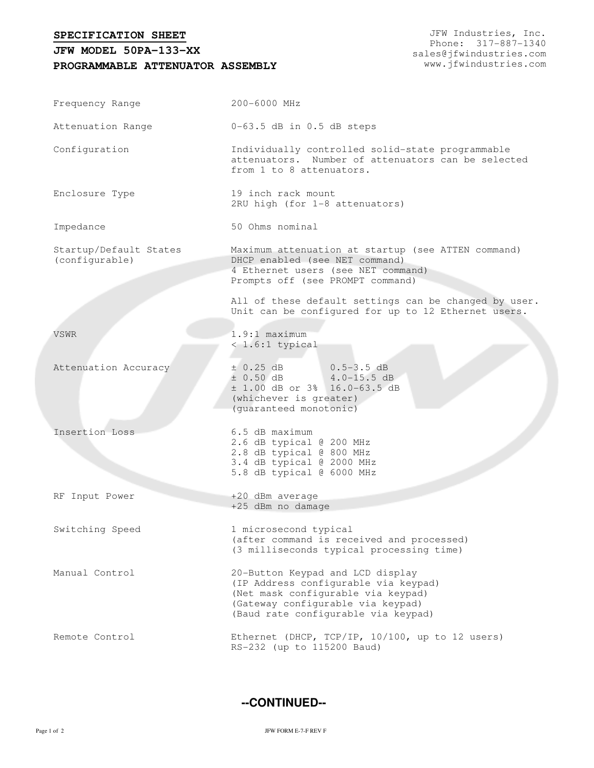**SPECIFICATION SHEET**

## **PROGRAMMABLE ATTENUATOR ASSEMBLY JFW MODEL 50PA-133-XX**

JFW Industries, Inc. Phone: 317-887-1340 sales@jfwindustries.com www.jfwindustries.com

| Frequency Range                          | 200-6000 MHz                                                                                                                                                                               |  |  |
|------------------------------------------|--------------------------------------------------------------------------------------------------------------------------------------------------------------------------------------------|--|--|
| Attenuation Range                        | $0-63.5$ dB in $0.5$ dB steps                                                                                                                                                              |  |  |
| Configuration                            | Individually controlled solid-state programmable<br>attenuators. Number of attenuators can be selected<br>from 1 to 8 attenuators.                                                         |  |  |
| Enclosure Type                           | 19 inch rack mount<br>2RU high (for 1-8 attenuators)                                                                                                                                       |  |  |
| Impedance                                | 50 Ohms nominal                                                                                                                                                                            |  |  |
| Startup/Default States<br>(configurable) | Maximum attenuation at startup (see ATTEN command)<br>DHCP enabled (see NET command)<br>4 Ethernet users (see NET command)<br>Prompts off (see PROMPT command)                             |  |  |
|                                          | All of these default settings can be changed by user.<br>Unit can be configured for up to 12 Ethernet users.                                                                               |  |  |
| VSWR                                     | $1.9:1$ maximum<br>$< 1.6:1$ typical                                                                                                                                                       |  |  |
| Attenuation Accuracy                     | ± 0.25 dB<br>$0.5 - 3.5$ dB<br>$\pm$ 0.50 dB 4.0-15.5 dB<br>± 1.00 dB or 3% 16.0-63.5 dB<br>(whichever is greater)<br>(guaranteed monotonic)                                               |  |  |
| Insertion Loss                           | 6.5 dB maximum<br>2.6 dB typical @ 200 MHz<br>2.8 dB typical @ 800 MHz<br>3.4 dB typical @ 2000 MHz<br>5.8 dB typical @ 6000 MHz                                                           |  |  |
| RF Input Power                           | +20 dBm average<br>+25 dBm no damage                                                                                                                                                       |  |  |
| Switching Speed                          | 1 microsecond typical<br>(after command is received and processed)<br>(3 milliseconds typical processing time)                                                                             |  |  |
| Manual Control                           | 20-Button Keypad and LCD display<br>(IP Address configurable via keypad)<br>(Net mask configurable via keypad)<br>(Gateway configurable via keypad)<br>(Baud rate configurable via keypad) |  |  |
| Remote Control                           | Ethernet (DHCP, TCP/IP, 10/100, up to 12 users)<br>RS-232 (up to 115200 Baud)                                                                                                              |  |  |

**--CONTINUED--**